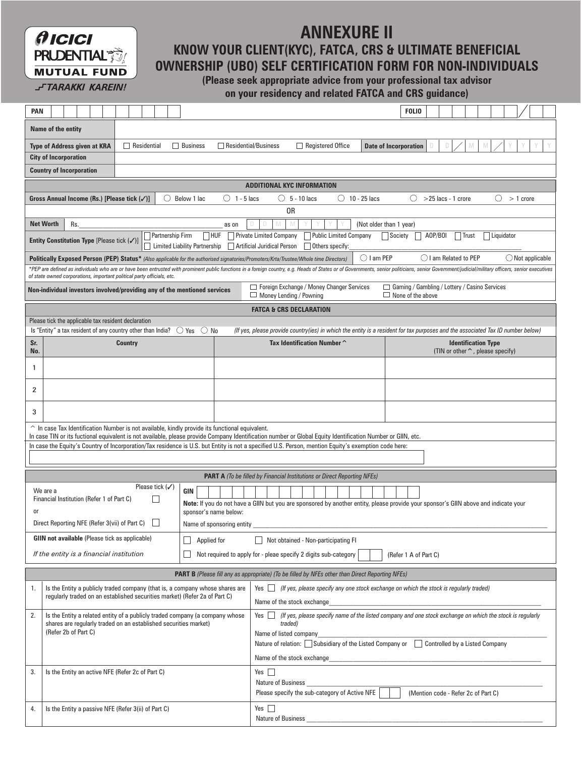# $O$   $IC$  $IC$  $I$ **PRUDENTIAL MUTUAL FUND**

## **KNOW YOUR CLIENT(KYC), FATCA, CRS & ULTIMATE BENEFICIAL OWNERSHIP (UBO) SELF CERTIFICATION FORM FOR NON-INDIVIDUALS ANNEXURE II**

**J-TARAKKI KAREIN!** 

## **(Please seek appropriate advice from your professional tax advisor**

**on your residency and related FATCA and CRS guidance)** 

| <b>PAN</b>                   |                                                                                                                                                                                                                                                                                           |                                                                                          |  |                    |                            |  |                 |                                                                                                                            |                                                                                                                                     |                                                                                                                                                                                                                                                                                                                     |  |  | <b>FOLIO</b>                                                                |  |  |                                                                          |  |  |  |  |
|------------------------------|-------------------------------------------------------------------------------------------------------------------------------------------------------------------------------------------------------------------------------------------------------------------------------------------|------------------------------------------------------------------------------------------|--|--------------------|----------------------------|--|-----------------|----------------------------------------------------------------------------------------------------------------------------|-------------------------------------------------------------------------------------------------------------------------------------|---------------------------------------------------------------------------------------------------------------------------------------------------------------------------------------------------------------------------------------------------------------------------------------------------------------------|--|--|-----------------------------------------------------------------------------|--|--|--------------------------------------------------------------------------|--|--|--|--|
|                              | Name of the entity                                                                                                                                                                                                                                                                        |                                                                                          |  |                    |                            |  |                 |                                                                                                                            |                                                                                                                                     |                                                                                                                                                                                                                                                                                                                     |  |  |                                                                             |  |  |                                                                          |  |  |  |  |
|                              |                                                                                                                                                                                                                                                                                           | <b>Type of Address given at KRA</b>                                                      |  | $\Box$ Residential |                            |  | $\Box$ Business |                                                                                                                            | Registered Office<br>$\Box$ Residential/Business<br><b>Date of Incorporation</b><br>D<br>D                                          |                                                                                                                                                                                                                                                                                                                     |  |  |                                                                             |  |  |                                                                          |  |  |  |  |
| <b>City of Incorporation</b> |                                                                                                                                                                                                                                                                                           |                                                                                          |  |                    |                            |  |                 |                                                                                                                            |                                                                                                                                     |                                                                                                                                                                                                                                                                                                                     |  |  |                                                                             |  |  |                                                                          |  |  |  |  |
|                              |                                                                                                                                                                                                                                                                                           | <b>Country of Incorporation</b>                                                          |  |                    |                            |  |                 |                                                                                                                            |                                                                                                                                     |                                                                                                                                                                                                                                                                                                                     |  |  |                                                                             |  |  |                                                                          |  |  |  |  |
|                              |                                                                                                                                                                                                                                                                                           |                                                                                          |  |                    |                            |  |                 |                                                                                                                            |                                                                                                                                     | <b>ADDITIONAL KYC INFORMATION</b>                                                                                                                                                                                                                                                                                   |  |  |                                                                             |  |  |                                                                          |  |  |  |  |
|                              | $\circ$<br>$() 1 - 5$ lacs<br>$()$ 5 - 10 lacs<br>$\bigcirc$ 10 - 25 lacs<br>O<br>Gross Annual Income (Rs.) [Please tick $(\checkmark)$ ]<br>Below 1 lac<br>$\left(\right)$<br>$>$ 25 lacs - 1 crore<br>$> 1$ crore<br>0R                                                                 |                                                                                          |  |                    |                            |  |                 |                                                                                                                            |                                                                                                                                     |                                                                                                                                                                                                                                                                                                                     |  |  |                                                                             |  |  |                                                                          |  |  |  |  |
|                              | <b>Net Worth</b><br>(Not older than 1 year)<br>Rs.<br>as on                                                                                                                                                                                                                               |                                                                                          |  |                    |                            |  |                 |                                                                                                                            |                                                                                                                                     |                                                                                                                                                                                                                                                                                                                     |  |  |                                                                             |  |  |                                                                          |  |  |  |  |
|                              | $\sqcap$ huf<br>Public Limited Company<br>Partnership Firm<br><b>Private Limited Company</b><br>Society<br>A0P/B0I<br>Liquidator<br>$\vert$ Trust<br>Entity Constitution Type [Please tick (/)]<br><b>Limited Liability Partnership</b><br>Artificial Juridical Person<br>Others specify: |                                                                                          |  |                    |                            |  |                 |                                                                                                                            |                                                                                                                                     |                                                                                                                                                                                                                                                                                                                     |  |  |                                                                             |  |  |                                                                          |  |  |  |  |
|                              | () I am PEP<br>◯ I am Related to PEP<br>$\bigcirc$ Not applicable<br>Politically Exposed Person (PEP) Status* (Also applicable for the authorised signatories/Promoters/Krta/Trustee/Whole time Directors)                                                                                |                                                                                          |  |                    |                            |  |                 |                                                                                                                            |                                                                                                                                     |                                                                                                                                                                                                                                                                                                                     |  |  |                                                                             |  |  |                                                                          |  |  |  |  |
|                              |                                                                                                                                                                                                                                                                                           | of state owned corporations, important political party officials, etc.                   |  |                    |                            |  |                 |                                                                                                                            |                                                                                                                                     | *PEP are defined as individuals who are or have been entrusted with prominent public functions in a foreign country, e.g. Heads of States or of Governments, senior politicians, senior Government/judicial/military officers,                                                                                      |  |  |                                                                             |  |  |                                                                          |  |  |  |  |
|                              |                                                                                                                                                                                                                                                                                           | Non-individual investors involved/providing any of the mentioned services                |  |                    |                            |  |                 |                                                                                                                            |                                                                                                                                     | $\Box$ Foreign Exchange / Money Changer Services<br>$\Box$ Money Lending / Powning                                                                                                                                                                                                                                  |  |  | □ Gaming / Gambling / Lottery / Casino Services<br>$\Box$ None of the above |  |  |                                                                          |  |  |  |  |
|                              |                                                                                                                                                                                                                                                                                           |                                                                                          |  |                    |                            |  |                 |                                                                                                                            |                                                                                                                                     | <b>FATCA &amp; CRS DECLARATION</b>                                                                                                                                                                                                                                                                                  |  |  |                                                                             |  |  |                                                                          |  |  |  |  |
|                              |                                                                                                                                                                                                                                                                                           | Please tick the applicable tax resident declaration                                      |  |                    |                            |  |                 |                                                                                                                            |                                                                                                                                     |                                                                                                                                                                                                                                                                                                                     |  |  |                                                                             |  |  |                                                                          |  |  |  |  |
|                              |                                                                                                                                                                                                                                                                                           | Is "Entity" a tax resident of any country other than India? $\bigcirc$ Yes               |  |                    |                            |  | $\bigcirc$ No   |                                                                                                                            |                                                                                                                                     | (If yes, please provide country(ies) in which the entity is a resident for tax purposes and the associated Tax ID number below)                                                                                                                                                                                     |  |  |                                                                             |  |  |                                                                          |  |  |  |  |
| Sr.<br>No.                   |                                                                                                                                                                                                                                                                                           |                                                                                          |  | <b>Country</b>     |                            |  |                 |                                                                                                                            |                                                                                                                                     | Tax Identification Number ^                                                                                                                                                                                                                                                                                         |  |  |                                                                             |  |  | <b>Identification Type</b><br>(TIN or other $\hat{\ }$ , please specify) |  |  |  |  |
| 1                            |                                                                                                                                                                                                                                                                                           |                                                                                          |  |                    |                            |  |                 |                                                                                                                            |                                                                                                                                     |                                                                                                                                                                                                                                                                                                                     |  |  |                                                                             |  |  |                                                                          |  |  |  |  |
| 2                            |                                                                                                                                                                                                                                                                                           |                                                                                          |  |                    |                            |  |                 |                                                                                                                            |                                                                                                                                     |                                                                                                                                                                                                                                                                                                                     |  |  |                                                                             |  |  |                                                                          |  |  |  |  |
| 3                            |                                                                                                                                                                                                                                                                                           |                                                                                          |  |                    |                            |  |                 |                                                                                                                            |                                                                                                                                     |                                                                                                                                                                                                                                                                                                                     |  |  |                                                                             |  |  |                                                                          |  |  |  |  |
|                              |                                                                                                                                                                                                                                                                                           |                                                                                          |  |                    |                            |  |                 | $\hat{\ }$ In case Tax Identification Number is not available, kindly provide its functional equivalent.                   |                                                                                                                                     |                                                                                                                                                                                                                                                                                                                     |  |  |                                                                             |  |  |                                                                          |  |  |  |  |
|                              |                                                                                                                                                                                                                                                                                           |                                                                                          |  |                    |                            |  |                 |                                                                                                                            |                                                                                                                                     | In case TIN or its fuctional equivalent is not available, please provide Company Identification number or Global Equity Identification Number or GIIN, etc.<br>In case the Equity's Country of Incorporation/Tax residence is U.S. but Entity is not a specified U.S. Person, mention Equity's exemption code here: |  |  |                                                                             |  |  |                                                                          |  |  |  |  |
|                              |                                                                                                                                                                                                                                                                                           |                                                                                          |  |                    |                            |  |                 |                                                                                                                            |                                                                                                                                     |                                                                                                                                                                                                                                                                                                                     |  |  |                                                                             |  |  |                                                                          |  |  |  |  |
|                              |                                                                                                                                                                                                                                                                                           |                                                                                          |  |                    |                            |  |                 |                                                                                                                            |                                                                                                                                     | <b>PART A</b> (To be filled by Financial Institutions or Direct Reporting NFEs)                                                                                                                                                                                                                                     |  |  |                                                                             |  |  |                                                                          |  |  |  |  |
|                              | We are a                                                                                                                                                                                                                                                                                  |                                                                                          |  |                    | Please tick $(\checkmark)$ |  | GIN             |                                                                                                                            |                                                                                                                                     |                                                                                                                                                                                                                                                                                                                     |  |  |                                                                             |  |  |                                                                          |  |  |  |  |
|                              |                                                                                                                                                                                                                                                                                           | Financial Institution (Refer 1 of Part C)                                                |  |                    |                            |  |                 |                                                                                                                            | Note: If you do not have a GIIN but you are sponsored by another entity, please provide your sponsor's GIIN above and indicate your |                                                                                                                                                                                                                                                                                                                     |  |  |                                                                             |  |  |                                                                          |  |  |  |  |
| or                           | sponsor's name below:                                                                                                                                                                                                                                                                     |                                                                                          |  |                    |                            |  |                 |                                                                                                                            |                                                                                                                                     |                                                                                                                                                                                                                                                                                                                     |  |  |                                                                             |  |  |                                                                          |  |  |  |  |
|                              | Direct Reporting NFE (Refer 3(vii) of Part C)<br>Name of sponsoring entity                                                                                                                                                                                                                |                                                                                          |  |                    |                            |  |                 |                                                                                                                            |                                                                                                                                     |                                                                                                                                                                                                                                                                                                                     |  |  |                                                                             |  |  |                                                                          |  |  |  |  |
|                              |                                                                                                                                                                                                                                                                                           | <b>GIIN not available</b> (Please tick as applicable)                                    |  |                    |                            |  | Applied for     |                                                                                                                            |                                                                                                                                     | Not obtained - Non-participating FI                                                                                                                                                                                                                                                                                 |  |  |                                                                             |  |  |                                                                          |  |  |  |  |
|                              |                                                                                                                                                                                                                                                                                           | If the entity is a financial institution                                                 |  |                    |                            |  |                 |                                                                                                                            |                                                                                                                                     | Not required to apply for - pleae specify 2 digits sub-category                                                                                                                                                                                                                                                     |  |  | (Refer 1 A of Part C)                                                       |  |  |                                                                          |  |  |  |  |
|                              |                                                                                                                                                                                                                                                                                           |                                                                                          |  |                    |                            |  |                 |                                                                                                                            |                                                                                                                                     | PART B (Please fill any as appropriate) (To be filled by NFEs other than Direct Reporting NFEs)                                                                                                                                                                                                                     |  |  |                                                                             |  |  |                                                                          |  |  |  |  |
| 1.                           | Is the Entity a publicly traded company (that is, a company whose shares are<br>regularly traded on an established securities market) (Refer 2a of Part C)                                                                                                                                |                                                                                          |  |                    |                            |  |                 | Yes   (If yes, please specify any one stock exchange on which the stock is regularly traded)<br>Name of the stock exchange |                                                                                                                                     |                                                                                                                                                                                                                                                                                                                     |  |  |                                                                             |  |  |                                                                          |  |  |  |  |
| 2.                           |                                                                                                                                                                                                                                                                                           |                                                                                          |  |                    |                            |  |                 | Is the Entity a related entity of a publicly traded company (a company whose                                               | Yes II                                                                                                                              | (If yes, please specify name of the listed company and one stock exchange on which the stock is regularly                                                                                                                                                                                                           |  |  |                                                                             |  |  |                                                                          |  |  |  |  |
|                              |                                                                                                                                                                                                                                                                                           | shares are regularly traded on an established securities market)<br>(Refer 2b of Part C) |  |                    |                            |  |                 |                                                                                                                            |                                                                                                                                     | traded)<br>Name of listed company                                                                                                                                                                                                                                                                                   |  |  |                                                                             |  |  |                                                                          |  |  |  |  |
|                              |                                                                                                                                                                                                                                                                                           |                                                                                          |  |                    |                            |  |                 | Nature of relation: □ Subsidiary of the Listed Company or □ Controlled by a Listed Company                                 |                                                                                                                                     |                                                                                                                                                                                                                                                                                                                     |  |  |                                                                             |  |  |                                                                          |  |  |  |  |
|                              |                                                                                                                                                                                                                                                                                           |                                                                                          |  |                    |                            |  |                 |                                                                                                                            |                                                                                                                                     | Name of the stock exchange                                                                                                                                                                                                                                                                                          |  |  |                                                                             |  |  |                                                                          |  |  |  |  |
| 3.                           | Is the Entity an active NFE (Refer 2c of Part C)                                                                                                                                                                                                                                          |                                                                                          |  |                    |                            |  | Yes $\Box$      |                                                                                                                            |                                                                                                                                     |                                                                                                                                                                                                                                                                                                                     |  |  |                                                                             |  |  |                                                                          |  |  |  |  |
|                              |                                                                                                                                                                                                                                                                                           |                                                                                          |  |                    |                            |  |                 |                                                                                                                            | <b>Nature of Business</b>                                                                                                           |                                                                                                                                                                                                                                                                                                                     |  |  |                                                                             |  |  |                                                                          |  |  |  |  |
|                              |                                                                                                                                                                                                                                                                                           |                                                                                          |  |                    |                            |  |                 |                                                                                                                            |                                                                                                                                     | Please specify the sub-category of Active NFE                                                                                                                                                                                                                                                                       |  |  |                                                                             |  |  | (Mention code - Refer 2c of Part C)                                      |  |  |  |  |
| 4.                           |                                                                                                                                                                                                                                                                                           | Is the Entity a passive NFE (Refer 3(ii) of Part C)                                      |  |                    |                            |  |                 |                                                                                                                            | $Yes$                                                                                                                               |                                                                                                                                                                                                                                                                                                                     |  |  |                                                                             |  |  |                                                                          |  |  |  |  |
|                              |                                                                                                                                                                                                                                                                                           |                                                                                          |  |                    |                            |  |                 |                                                                                                                            | Nature of Business                                                                                                                  |                                                                                                                                                                                                                                                                                                                     |  |  |                                                                             |  |  |                                                                          |  |  |  |  |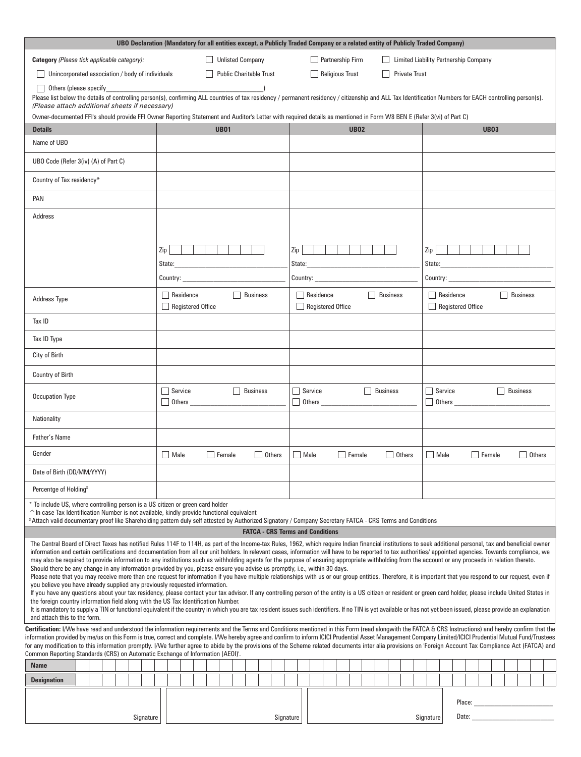| UBO Declaration (Mandatory for all entities except, a Publicly Traded Company or a related entity of Publicly Traded Company)                                                                                                                                                                                                                                                                                                                                                                                                                                                                                                                                                                                                                                                                                                                                                                                                                                                                                                                                                                                                                                                                                                                                                                                                                                                                                                                                                                                                                                                                                                |                                                                                                                                                                                                                                                                                                        |                                                                                                                                                                      |  |                                              |  |                                |           |     |                  |  |                   |               |  |          |               |  |                                       |                                                                 |                                                     |  |        |               |  |                 |                                                                                                                                                                                                                                |  |
|------------------------------------------------------------------------------------------------------------------------------------------------------------------------------------------------------------------------------------------------------------------------------------------------------------------------------------------------------------------------------------------------------------------------------------------------------------------------------------------------------------------------------------------------------------------------------------------------------------------------------------------------------------------------------------------------------------------------------------------------------------------------------------------------------------------------------------------------------------------------------------------------------------------------------------------------------------------------------------------------------------------------------------------------------------------------------------------------------------------------------------------------------------------------------------------------------------------------------------------------------------------------------------------------------------------------------------------------------------------------------------------------------------------------------------------------------------------------------------------------------------------------------------------------------------------------------------------------------------------------------|--------------------------------------------------------------------------------------------------------------------------------------------------------------------------------------------------------------------------------------------------------------------------------------------------------|----------------------------------------------------------------------------------------------------------------------------------------------------------------------|--|----------------------------------------------|--|--------------------------------|-----------|-----|------------------|--|-------------------|---------------|--|----------|---------------|--|---------------------------------------|-----------------------------------------------------------------|-----------------------------------------------------|--|--------|---------------|--|-----------------|--------------------------------------------------------------------------------------------------------------------------------------------------------------------------------------------------------------------------------|--|
| Category (Please tick applicable category):                                                                                                                                                                                                                                                                                                                                                                                                                                                                                                                                                                                                                                                                                                                                                                                                                                                                                                                                                                                                                                                                                                                                                                                                                                                                                                                                                                                                                                                                                                                                                                                  |                                                                                                                                                                                                                                                                                                        | <b>Unlisted Company</b>                                                                                                                                              |  |                                              |  |                                |           |     | Partnership Firm |  |                   |               |  |          |               |  | Limited Liability Partnership Company |                                                                 |                                                     |  |        |               |  |                 |                                                                                                                                                                                                                                |  |
| Unincorporated association / body of individuals                                                                                                                                                                                                                                                                                                                                                                                                                                                                                                                                                                                                                                                                                                                                                                                                                                                                                                                                                                                                                                                                                                                                                                                                                                                                                                                                                                                                                                                                                                                                                                             |                                                                                                                                                                                                                                                                                                        |                                                                                                                                                                      |  |                                              |  | <b>Public Charitable Trust</b> |           |     |                  |  | Religious Trust   |               |  |          |               |  | <b>Private Trust</b>                  |                                                                 |                                                     |  |        |               |  |                 |                                                                                                                                                                                                                                |  |
| Others (please specify                                                                                                                                                                                                                                                                                                                                                                                                                                                                                                                                                                                                                                                                                                                                                                                                                                                                                                                                                                                                                                                                                                                                                                                                                                                                                                                                                                                                                                                                                                                                                                                                       | <u> 1980 - Johann Barbara, martxa al</u><br>Please list below the details of controlling person(s), confirming ALL countries of tax residency / permanent residency / citizenship and ALL Tax Identification Numbers for EACH controlling person(s).<br>(Please attach additional sheets if necessary) |                                                                                                                                                                      |  |                                              |  |                                |           |     |                  |  |                   |               |  |          |               |  |                                       |                                                                 |                                                     |  |        |               |  |                 |                                                                                                                                                                                                                                |  |
|                                                                                                                                                                                                                                                                                                                                                                                                                                                                                                                                                                                                                                                                                                                                                                                                                                                                                                                                                                                                                                                                                                                                                                                                                                                                                                                                                                                                                                                                                                                                                                                                                              |                                                                                                                                                                                                                                                                                                        | Owner-documented FFI's should provide FFI Owner Reporting Statement and Auditor's Letter with required details as mentioned in Form W8 BEN E (Refer 3(vi) of Part C) |  |                                              |  |                                |           |     |                  |  |                   |               |  |          |               |  |                                       |                                                                 |                                                     |  |        |               |  |                 |                                                                                                                                                                                                                                |  |
| <b>Details</b>                                                                                                                                                                                                                                                                                                                                                                                                                                                                                                                                                                                                                                                                                                                                                                                                                                                                                                                                                                                                                                                                                                                                                                                                                                                                                                                                                                                                                                                                                                                                                                                                               |                                                                                                                                                                                                                                                                                                        |                                                                                                                                                                      |  | <b>UB01</b>                                  |  |                                |           |     |                  |  |                   | <b>UB02</b>   |  |          |               |  |                                       |                                                                 |                                                     |  |        | <b>UB03</b>   |  |                 |                                                                                                                                                                                                                                |  |
| Name of UBO                                                                                                                                                                                                                                                                                                                                                                                                                                                                                                                                                                                                                                                                                                                                                                                                                                                                                                                                                                                                                                                                                                                                                                                                                                                                                                                                                                                                                                                                                                                                                                                                                  |                                                                                                                                                                                                                                                                                                        |                                                                                                                                                                      |  |                                              |  |                                |           |     |                  |  |                   |               |  |          |               |  |                                       |                                                                 |                                                     |  |        |               |  |                 |                                                                                                                                                                                                                                |  |
| UBO Code (Refer 3(iv) (A) of Part C)                                                                                                                                                                                                                                                                                                                                                                                                                                                                                                                                                                                                                                                                                                                                                                                                                                                                                                                                                                                                                                                                                                                                                                                                                                                                                                                                                                                                                                                                                                                                                                                         |                                                                                                                                                                                                                                                                                                        |                                                                                                                                                                      |  |                                              |  |                                |           |     |                  |  |                   |               |  |          |               |  |                                       |                                                                 |                                                     |  |        |               |  |                 |                                                                                                                                                                                                                                |  |
| Country of Tax residency*                                                                                                                                                                                                                                                                                                                                                                                                                                                                                                                                                                                                                                                                                                                                                                                                                                                                                                                                                                                                                                                                                                                                                                                                                                                                                                                                                                                                                                                                                                                                                                                                    |                                                                                                                                                                                                                                                                                                        |                                                                                                                                                                      |  |                                              |  |                                |           |     |                  |  |                   |               |  |          |               |  |                                       |                                                                 |                                                     |  |        |               |  |                 |                                                                                                                                                                                                                                |  |
| PAN                                                                                                                                                                                                                                                                                                                                                                                                                                                                                                                                                                                                                                                                                                                                                                                                                                                                                                                                                                                                                                                                                                                                                                                                                                                                                                                                                                                                                                                                                                                                                                                                                          |                                                                                                                                                                                                                                                                                                        |                                                                                                                                                                      |  |                                              |  |                                |           |     |                  |  |                   |               |  |          |               |  |                                       |                                                                 |                                                     |  |        |               |  |                 |                                                                                                                                                                                                                                |  |
| Address                                                                                                                                                                                                                                                                                                                                                                                                                                                                                                                                                                                                                                                                                                                                                                                                                                                                                                                                                                                                                                                                                                                                                                                                                                                                                                                                                                                                                                                                                                                                                                                                                      |                                                                                                                                                                                                                                                                                                        |                                                                                                                                                                      |  |                                              |  |                                |           |     |                  |  |                   |               |  |          |               |  |                                       |                                                                 |                                                     |  |        |               |  |                 |                                                                                                                                                                                                                                |  |
|                                                                                                                                                                                                                                                                                                                                                                                                                                                                                                                                                                                                                                                                                                                                                                                                                                                                                                                                                                                                                                                                                                                                                                                                                                                                                                                                                                                                                                                                                                                                                                                                                              | Zip                                                                                                                                                                                                                                                                                                    | State:                                                                                                                                                               |  | the control of the control of the control of |  |                                |           | Zip | State:           |  |                   |               |  |          |               |  |                                       | Zip  <br>State:<br>the control of the control of the control of |                                                     |  |        |               |  |                 |                                                                                                                                                                                                                                |  |
|                                                                                                                                                                                                                                                                                                                                                                                                                                                                                                                                                                                                                                                                                                                                                                                                                                                                                                                                                                                                                                                                                                                                                                                                                                                                                                                                                                                                                                                                                                                                                                                                                              |                                                                                                                                                                                                                                                                                                        | Country: the country:                                                                                                                                                |  |                                              |  |                                |           |     | Country:         |  |                   |               |  |          |               |  |                                       |                                                                 |                                                     |  |        |               |  |                 |                                                                                                                                                                                                                                |  |
| <b>Address Type</b>                                                                                                                                                                                                                                                                                                                                                                                                                                                                                                                                                                                                                                                                                                                                                                                                                                                                                                                                                                                                                                                                                                                                                                                                                                                                                                                                                                                                                                                                                                                                                                                                          |                                                                                                                                                                                                                                                                                                        | Residence<br><b>Registered Office</b>                                                                                                                                |  |                                              |  | Business                       |           |     | Residence        |  | Registered Office |               |  | Business |               |  |                                       | <b>Business</b><br>$\Box$ Residence<br>Registered Office        |                                                     |  |        |               |  |                 |                                                                                                                                                                                                                                |  |
| Tax ID                                                                                                                                                                                                                                                                                                                                                                                                                                                                                                                                                                                                                                                                                                                                                                                                                                                                                                                                                                                                                                                                                                                                                                                                                                                                                                                                                                                                                                                                                                                                                                                                                       |                                                                                                                                                                                                                                                                                                        |                                                                                                                                                                      |  |                                              |  |                                |           |     |                  |  |                   |               |  |          |               |  |                                       |                                                                 |                                                     |  |        |               |  |                 |                                                                                                                                                                                                                                |  |
| Tax ID Type                                                                                                                                                                                                                                                                                                                                                                                                                                                                                                                                                                                                                                                                                                                                                                                                                                                                                                                                                                                                                                                                                                                                                                                                                                                                                                                                                                                                                                                                                                                                                                                                                  |                                                                                                                                                                                                                                                                                                        |                                                                                                                                                                      |  |                                              |  |                                |           |     |                  |  |                   |               |  |          |               |  |                                       |                                                                 |                                                     |  |        |               |  |                 |                                                                                                                                                                                                                                |  |
| City of Birth                                                                                                                                                                                                                                                                                                                                                                                                                                                                                                                                                                                                                                                                                                                                                                                                                                                                                                                                                                                                                                                                                                                                                                                                                                                                                                                                                                                                                                                                                                                                                                                                                |                                                                                                                                                                                                                                                                                                        |                                                                                                                                                                      |  |                                              |  |                                |           |     |                  |  |                   |               |  |          |               |  |                                       |                                                                 |                                                     |  |        |               |  |                 |                                                                                                                                                                                                                                |  |
| <b>Country of Birth</b>                                                                                                                                                                                                                                                                                                                                                                                                                                                                                                                                                                                                                                                                                                                                                                                                                                                                                                                                                                                                                                                                                                                                                                                                                                                                                                                                                                                                                                                                                                                                                                                                      |                                                                                                                                                                                                                                                                                                        |                                                                                                                                                                      |  |                                              |  |                                |           |     |                  |  |                   |               |  |          |               |  |                                       |                                                                 |                                                     |  |        |               |  |                 |                                                                                                                                                                                                                                |  |
| <b>Occupation Type</b>                                                                                                                                                                                                                                                                                                                                                                                                                                                                                                                                                                                                                                                                                                                                                                                                                                                                                                                                                                                                                                                                                                                                                                                                                                                                                                                                                                                                                                                                                                                                                                                                       |                                                                                                                                                                                                                                                                                                        | $\Box$ Service<br>$\Box$ Others                                                                                                                                      |  |                                              |  | <b>Business</b>                |           |     | Service          |  | Others            |               |  | Business |               |  |                                       |                                                                 | $\Box$ Service<br>$\Box$ Others $\_\_\_\_\_\_\_\_\$ |  |        |               |  | <b>Business</b> |                                                                                                                                                                                                                                |  |
| Nationality                                                                                                                                                                                                                                                                                                                                                                                                                                                                                                                                                                                                                                                                                                                                                                                                                                                                                                                                                                                                                                                                                                                                                                                                                                                                                                                                                                                                                                                                                                                                                                                                                  |                                                                                                                                                                                                                                                                                                        |                                                                                                                                                                      |  |                                              |  |                                |           |     |                  |  |                   |               |  |          |               |  |                                       |                                                                 |                                                     |  |        |               |  |                 |                                                                                                                                                                                                                                |  |
| Father's Name                                                                                                                                                                                                                                                                                                                                                                                                                                                                                                                                                                                                                                                                                                                                                                                                                                                                                                                                                                                                                                                                                                                                                                                                                                                                                                                                                                                                                                                                                                                                                                                                                |                                                                                                                                                                                                                                                                                                        |                                                                                                                                                                      |  |                                              |  |                                |           |     |                  |  |                   |               |  |          |               |  |                                       |                                                                 |                                                     |  |        |               |  |                 |                                                                                                                                                                                                                                |  |
| Gender                                                                                                                                                                                                                                                                                                                                                                                                                                                                                                                                                                                                                                                                                                                                                                                                                                                                                                                                                                                                                                                                                                                                                                                                                                                                                                                                                                                                                                                                                                                                                                                                                       |                                                                                                                                                                                                                                                                                                        | Male                                                                                                                                                                 |  | Female                                       |  | $\Box$ Others                  |           |     | <b>Nale</b>      |  |                   | $\Box$ Female |  |          | $\Box$ Others |  |                                       | $\Box$ Male                                                     |                                                     |  |        | $\Box$ Female |  |                 | <b>Others</b>                                                                                                                                                                                                                  |  |
| Date of Birth (DD/MM/YYYY)                                                                                                                                                                                                                                                                                                                                                                                                                                                                                                                                                                                                                                                                                                                                                                                                                                                                                                                                                                                                                                                                                                                                                                                                                                                                                                                                                                                                                                                                                                                                                                                                   |                                                                                                                                                                                                                                                                                                        |                                                                                                                                                                      |  |                                              |  |                                |           |     |                  |  |                   |               |  |          |               |  |                                       |                                                                 |                                                     |  |        |               |  |                 |                                                                                                                                                                                                                                |  |
| Percentge of Holding <sup>\$</sup>                                                                                                                                                                                                                                                                                                                                                                                                                                                                                                                                                                                                                                                                                                                                                                                                                                                                                                                                                                                                                                                                                                                                                                                                                                                                                                                                                                                                                                                                                                                                                                                           |                                                                                                                                                                                                                                                                                                        |                                                                                                                                                                      |  |                                              |  |                                |           |     |                  |  |                   |               |  |          |               |  |                                       |                                                                 |                                                     |  |        |               |  |                 |                                                                                                                                                                                                                                |  |
| * To include US, where controlling person is a US citizen or green card holder<br>$\hat{\ }$ In case Tax Identification Number is not available, kindly provide functional equivalent                                                                                                                                                                                                                                                                                                                                                                                                                                                                                                                                                                                                                                                                                                                                                                                                                                                                                                                                                                                                                                                                                                                                                                                                                                                                                                                                                                                                                                        |                                                                                                                                                                                                                                                                                                        |                                                                                                                                                                      |  |                                              |  |                                |           |     |                  |  |                   |               |  |          |               |  |                                       |                                                                 |                                                     |  |        |               |  |                 |                                                                                                                                                                                                                                |  |
|                                                                                                                                                                                                                                                                                                                                                                                                                                                                                                                                                                                                                                                                                                                                                                                                                                                                                                                                                                                                                                                                                                                                                                                                                                                                                                                                                                                                                                                                                                                                                                                                                              | \$ Attach valid documentary proof like Shareholding pattern duly self attested by Authorized Signatory / Company Secretary FATCA - CRS Terms and Conditions<br><b>FATCA - CRS Terms and Conditions</b>                                                                                                 |                                                                                                                                                                      |  |                                              |  |                                |           |     |                  |  |                   |               |  |          |               |  |                                       |                                                                 |                                                     |  |        |               |  |                 |                                                                                                                                                                                                                                |  |
| The Central Board of Direct Taxes has notified Rules 114F to 114H, as part of the Income-tax Rules, 1962, which require Indian financial institutions to seek additional personal, tax and beneficial owner<br>information and certain certifications and documentation from all our unit holders. In relevant cases, information will have to be reported to tax authorities/appointed agencies. Towards compliance, we<br>may also be required to provide information to any institutions such as withholding agents for the purpose of ensuring appropriate withholding from the account or any proceeds in relation thereto.<br>Should there be any change in any information provided by you, please ensure you advise us promptly, i.e., within 30 days.<br>Please note that you may receive more than one request for information if you have multiple relationships with us or our group entities. Therefore, it is important that you respond to our request, even if<br>you believe you have already supplied any previously requested information.<br>If you have any questions about your tax residency, please contact your tax advisor. If any controlling person of the entity is a US citizen or resident or green card holder, please include United States in<br>the foreign country information field along with the US Tax Identification Number.<br>It is mandatory to supply a TIN or functional equivalent if the country in which you are tax resident issues such identifiers. If no TIN is yet available or has not yet been issued, please provide an explanation<br>and attach this to the form. |                                                                                                                                                                                                                                                                                                        |                                                                                                                                                                      |  |                                              |  |                                |           |     |                  |  |                   |               |  |          |               |  |                                       |                                                                 |                                                     |  |        |               |  |                 |                                                                                                                                                                                                                                |  |
| Certification: I/We have read and understood the information requirements and the Terms and Conditions mentioned in this Form (read alongwith the FATCA & CRS Instructions) and hereby confirm that the                                                                                                                                                                                                                                                                                                                                                                                                                                                                                                                                                                                                                                                                                                                                                                                                                                                                                                                                                                                                                                                                                                                                                                                                                                                                                                                                                                                                                      |                                                                                                                                                                                                                                                                                                        |                                                                                                                                                                      |  |                                              |  |                                |           |     |                  |  |                   |               |  |          |               |  |                                       |                                                                 |                                                     |  |        |               |  |                 |                                                                                                                                                                                                                                |  |
| information provided by me/us on this Form is true, correct and complete. I/We hereby agree and confirm to inform ICICI Prudential Asset Management Company Limited/ICICI Prudential Mutual Fund/Trustees<br>for any modification to this information promptly. I/We further agree to abide by the provisions of the Scheme related documents inter alia provisions on 'Foreign Account Tax Compliance Act (FATCA) and<br>Common Reporting Standards (CRS) on Automatic Exchange of Information (AEOI)'.                                                                                                                                                                                                                                                                                                                                                                                                                                                                                                                                                                                                                                                                                                                                                                                                                                                                                                                                                                                                                                                                                                                     |                                                                                                                                                                                                                                                                                                        |                                                                                                                                                                      |  |                                              |  |                                |           |     |                  |  |                   |               |  |          |               |  |                                       |                                                                 |                                                     |  |        |               |  |                 |                                                                                                                                                                                                                                |  |
| <b>Name</b>                                                                                                                                                                                                                                                                                                                                                                                                                                                                                                                                                                                                                                                                                                                                                                                                                                                                                                                                                                                                                                                                                                                                                                                                                                                                                                                                                                                                                                                                                                                                                                                                                  |                                                                                                                                                                                                                                                                                                        |                                                                                                                                                                      |  |                                              |  |                                |           |     |                  |  |                   |               |  |          |               |  |                                       |                                                                 |                                                     |  |        |               |  |                 |                                                                                                                                                                                                                                |  |
| <b>Designation</b>                                                                                                                                                                                                                                                                                                                                                                                                                                                                                                                                                                                                                                                                                                                                                                                                                                                                                                                                                                                                                                                                                                                                                                                                                                                                                                                                                                                                                                                                                                                                                                                                           |                                                                                                                                                                                                                                                                                                        |                                                                                                                                                                      |  |                                              |  |                                |           |     |                  |  |                   |               |  |          |               |  |                                       |                                                                 |                                                     |  |        |               |  |                 |                                                                                                                                                                                                                                |  |
|                                                                                                                                                                                                                                                                                                                                                                                                                                                                                                                                                                                                                                                                                                                                                                                                                                                                                                                                                                                                                                                                                                                                                                                                                                                                                                                                                                                                                                                                                                                                                                                                                              |                                                                                                                                                                                                                                                                                                        |                                                                                                                                                                      |  |                                              |  |                                |           |     |                  |  |                   |               |  |          |               |  |                                       |                                                                 |                                                     |  |        |               |  |                 |                                                                                                                                                                                                                                |  |
|                                                                                                                                                                                                                                                                                                                                                                                                                                                                                                                                                                                                                                                                                                                                                                                                                                                                                                                                                                                                                                                                                                                                                                                                                                                                                                                                                                                                                                                                                                                                                                                                                              | Signature                                                                                                                                                                                                                                                                                              |                                                                                                                                                                      |  |                                              |  |                                | Signature |     |                  |  |                   |               |  |          |               |  |                                       | Signature                                                       |                                                     |  | Place: |               |  |                 | Date: the contract of the contract of the contract of the contract of the contract of the contract of the contract of the contract of the contract of the contract of the contract of the contract of the contract of the cont |  |
|                                                                                                                                                                                                                                                                                                                                                                                                                                                                                                                                                                                                                                                                                                                                                                                                                                                                                                                                                                                                                                                                                                                                                                                                                                                                                                                                                                                                                                                                                                                                                                                                                              |                                                                                                                                                                                                                                                                                                        |                                                                                                                                                                      |  |                                              |  |                                |           |     |                  |  |                   |               |  |          |               |  |                                       |                                                                 |                                                     |  |        |               |  |                 |                                                                                                                                                                                                                                |  |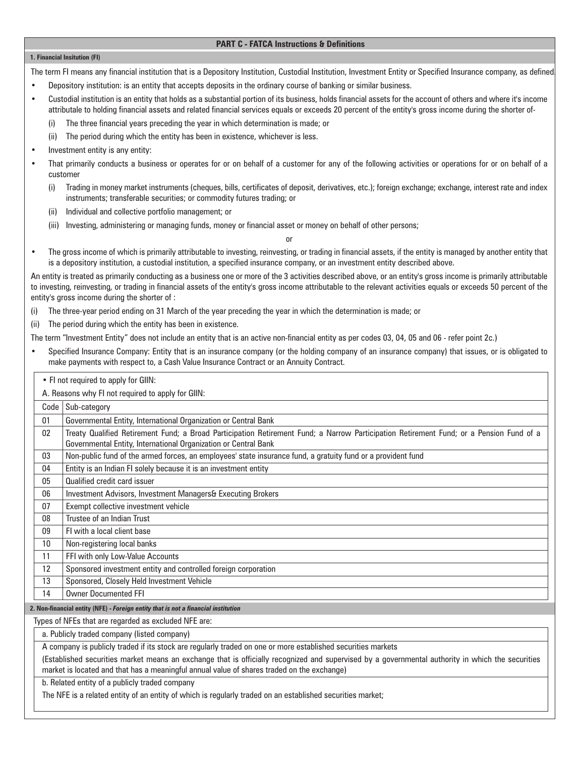### **PART C - FATCA Instructions & Definitions**

#### **1. Financial Insitution (FI)**

The term FI means any financial institution that is a Depository Institution, Custodial Institution, Investment Entity or Specified Insurance company, as defined.

- Depository institution: is an entity that accepts deposits in the ordinary course of banking or similar business.
- Custodial institution is an entity that holds as a substantial portion of its business, holds financial assets for the account of others and where it's income attributale to holding financial assets and related financial services equals or exceeds 20 percent of the entity's gross income during the shorter of-
	- (i) The three financial years preceding the year in which determination is made; or
	- (ii) The period during which the entity has been in existence, whichever is less.
- Investment entity is any entity:
- That primarily conducts a business or operates for or on behalf of a customer for any of the following activities or operations for or on behalf of a customer
	- (i) Trading in money market instruments (cheques, bills, certificates of deposit, derivatives, etc.); foreign exchange; exchange, interest rate and index instruments; transferable securities; or commodity futures trading; or
	- (ii) Individual and collective portfolio management; or
	- (iii) Investing, administering or managing funds, money or financial asset or money on behalf of other persons;

or

• The gross income of which is primarily attributable to investing, reinvesting, or trading in financial assets, if the entity is managed by another entity that is a depository institution, a custodial institution, a specified insurance company, or an investment entity described above.

An entity is treated as primarily conducting as a business one or more of the 3 activities described above, or an entity's gross income is primarily attributable to investing, reinvesting, or trading in financial assets of the entity's gross income attributable to the relevant activities equals or exceeds 50 percent of the entity's gross income during the shorter of :

- (i) The three-year period ending on 31 March of the year preceding the year in which the determination is made; or
- (ii) The period during which the entity has been in existence.

The term "Investment Entity" does not include an entity that is an active non-financial entity as per codes 03, 04, 05 and 06 - refer point 2c.)

• Specified Insurance Company: Entity that is an insurance company (or the holding company of an insurance company) that issues, or is obligated to make payments with respect to, a Cash Value Insurance Contract or an Annuity Contract.

| • FI not required to apply for GIIN: |
|--------------------------------------|
|--------------------------------------|

A. Reasons why FI not required to apply for GIIN:

|                   | A. Reasons why in not required to apply for Gilly.                                                                                                                                                         |
|-------------------|------------------------------------------------------------------------------------------------------------------------------------------------------------------------------------------------------------|
|                   | Code   Sub-category                                                                                                                                                                                        |
| 01                | Governmental Entity, International Organization or Central Bank                                                                                                                                            |
| 02                | Treaty Qualified Retirement Fund; a Broad Participation Retirement Fund; a Narrow Participation Retirement Fund; or a Pension Fund of a<br>Governmental Entity, International Organization or Central Bank |
| 03                | Non-public fund of the armed forces, an employees' state insurance fund, a gratuity fund or a provident fund                                                                                               |
| 04                | Entity is an Indian FI solely because it is an investment entity                                                                                                                                           |
| 05                | Qualified credit card issuer                                                                                                                                                                               |
| 06                | Investment Advisors, Investment Managers& Executing Brokers                                                                                                                                                |
| 07                | Exempt collective investment vehicle                                                                                                                                                                       |
| 08                | Trustee of an Indian Trust                                                                                                                                                                                 |
| 09                | FI with a local client base                                                                                                                                                                                |
| 10                | Non-registering local banks                                                                                                                                                                                |
| 11                | FFI with only Low-Value Accounts                                                                                                                                                                           |
| $12 \overline{ }$ | Sponsored investment entity and controlled foreign corporation                                                                                                                                             |
| 13                | Sponsored, Closely Held Investment Vehicle                                                                                                                                                                 |
| 14                | <b>Owner Documented FFI</b>                                                                                                                                                                                |
|                   | 2. Non financial ontity (NEE). Foreign ontity that is not a financial institution                                                                                                                          |

**2. Non-financial entity (NFE) -** *Foreign entity that is not a financial institution*

Types of NFEs that are regarded as excluded NFE are:

a. Publicly traded company (listed company)

A company is publicly traded if its stock are regularly traded on one or more established securities markets

(Established securities market means an exchange that is officially recognized and supervised by a governmental authority in which the securities market is located and that has a meaningful annual value of shares traded on the exchange)

b. Related entity of a publicly traded company

The NFE is a related entity of an entity of which is regularly traded on an established securities market;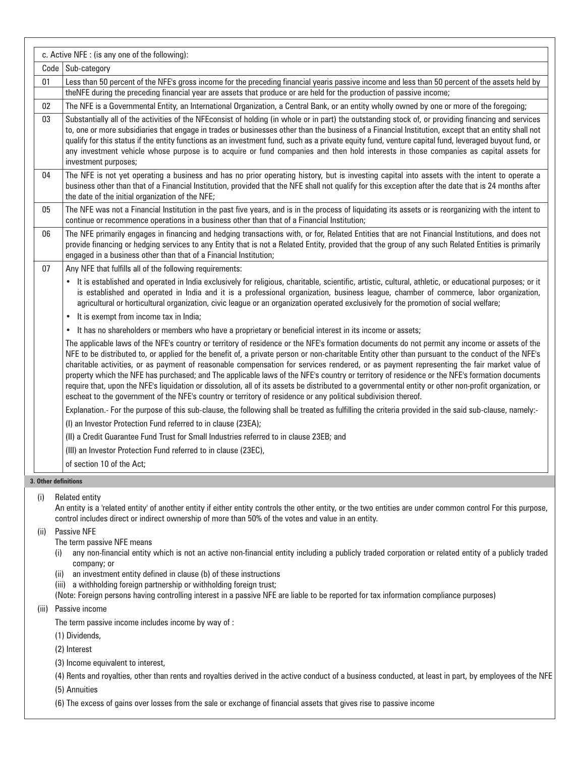|                      | c. Active NFE : (is any one of the following):                                                                                                                                                                                                                                                                                                                                                                                                                                                                                                                                                                                                                                                                                                                                                                                                                                  |
|----------------------|---------------------------------------------------------------------------------------------------------------------------------------------------------------------------------------------------------------------------------------------------------------------------------------------------------------------------------------------------------------------------------------------------------------------------------------------------------------------------------------------------------------------------------------------------------------------------------------------------------------------------------------------------------------------------------------------------------------------------------------------------------------------------------------------------------------------------------------------------------------------------------|
| Code                 | Sub-category                                                                                                                                                                                                                                                                                                                                                                                                                                                                                                                                                                                                                                                                                                                                                                                                                                                                    |
| 01                   | Less than 50 percent of the NFE's gross income for the preceding financial yearis passive income and less than 50 percent of the assets held by<br>theNFE during the preceding financial year are assets that produce or are held for the production of passive income;                                                                                                                                                                                                                                                                                                                                                                                                                                                                                                                                                                                                         |
| 02                   | The NFE is a Governmental Entity, an International Organization, a Central Bank, or an entity wholly owned by one or more of the foregoing;                                                                                                                                                                                                                                                                                                                                                                                                                                                                                                                                                                                                                                                                                                                                     |
| 03                   | Substantially all of the activities of the NFEconsist of holding (in whole or in part) the outstanding stock of, or providing financing and services<br>to, one or more subsidiaries that engage in trades or businesses other than the business of a Financial Institution, except that an entity shall not<br>qualify for this status if the entity functions as an investment fund, such as a private equity fund, venture capital fund, leveraged buyout fund, or<br>any investment vehicle whose purpose is to acquire or fund companies and then hold interests in those companies as capital assets for<br>investment purposes;                                                                                                                                                                                                                                          |
| 04                   | The NFE is not yet operating a business and has no prior operating history, but is investing capital into assets with the intent to operate a<br>business other than that of a Financial Institution, provided that the NFE shall not qualify for this exception after the date that is 24 months after<br>the date of the initial organization of the NFE;                                                                                                                                                                                                                                                                                                                                                                                                                                                                                                                     |
| 05                   | The NFE was not a Financial Institution in the past five years, and is in the process of liquidating its assets or is reorganizing with the intent to<br>continue or recommence operations in a business other than that of a Financial Institution;                                                                                                                                                                                                                                                                                                                                                                                                                                                                                                                                                                                                                            |
| 06                   | The NFE primarily engages in financing and hedging transactions with, or for, Related Entities that are not Financial Institutions, and does not<br>provide financing or hedging services to any Entity that is not a Related Entity, provided that the group of any such Related Entities is primarily<br>engaged in a business other than that of a Financial Institution;                                                                                                                                                                                                                                                                                                                                                                                                                                                                                                    |
| 07                   | Any NFE that fulfills all of the following requirements:                                                                                                                                                                                                                                                                                                                                                                                                                                                                                                                                                                                                                                                                                                                                                                                                                        |
|                      | It is established and operated in India exclusively for religious, charitable, scientific, artistic, cultural, athletic, or educational purposes; or it<br>$\bullet$<br>is established and operated in India and it is a professional organization, business league, chamber of commerce, labor organization,<br>agricultural or horticultural organization, civic league or an organization operated exclusively for the promotion of social welfare;                                                                                                                                                                                                                                                                                                                                                                                                                          |
|                      | It is exempt from income tax in India;<br>$\bullet$                                                                                                                                                                                                                                                                                                                                                                                                                                                                                                                                                                                                                                                                                                                                                                                                                             |
|                      | It has no shareholders or members who have a proprietary or beneficial interest in its income or assets;<br>$\bullet$                                                                                                                                                                                                                                                                                                                                                                                                                                                                                                                                                                                                                                                                                                                                                           |
|                      | The applicable laws of the NFE's country or territory of residence or the NFE's formation documents do not permit any income or assets of the<br>NFE to be distributed to, or applied for the benefit of, a private person or non-charitable Entity other than pursuant to the conduct of the NFE's<br>charitable activities, or as payment of reasonable compensation for services rendered, or as payment representing the fair market value of<br>property which the NFE has purchased; and The applicable laws of the NFE's country or territory of residence or the NFE's formation documents<br>require that, upon the NFE's liquidation or dissolution, all of its assets be distributed to a governmental entity or other non-profit organization, or<br>escheat to the government of the NFE's country or territory of residence or any political subdivision thereof. |
|                      | Explanation.- For the purpose of this sub-clause, the following shall be treated as fulfilling the criteria provided in the said sub-clause, namely:-                                                                                                                                                                                                                                                                                                                                                                                                                                                                                                                                                                                                                                                                                                                           |
|                      | (I) an Investor Protection Fund referred to in clause (23EA);                                                                                                                                                                                                                                                                                                                                                                                                                                                                                                                                                                                                                                                                                                                                                                                                                   |
|                      | (II) a Credit Guarantee Fund Trust for Small Industries referred to in clause 23EB; and                                                                                                                                                                                                                                                                                                                                                                                                                                                                                                                                                                                                                                                                                                                                                                                         |
|                      | (III) an Investor Protection Fund referred to in clause (23EC),                                                                                                                                                                                                                                                                                                                                                                                                                                                                                                                                                                                                                                                                                                                                                                                                                 |
|                      | of section 10 of the Act:                                                                                                                                                                                                                                                                                                                                                                                                                                                                                                                                                                                                                                                                                                                                                                                                                                                       |
| 3. Other definitions |                                                                                                                                                                                                                                                                                                                                                                                                                                                                                                                                                                                                                                                                                                                                                                                                                                                                                 |
|                      |                                                                                                                                                                                                                                                                                                                                                                                                                                                                                                                                                                                                                                                                                                                                                                                                                                                                                 |

(i) Related entity

An entity is a 'related entity' of another entity if either entity controls the other entity, or the two entities are under common control For this purpose, control includes direct or indirect ownership of more than 50% of the votes and value in an entity.

(ii) Passive NFE

The term passive NFE means

- (i) any non-financial entity which is not an active non-financial entity including a publicly traded corporation or related entity of a publicly traded company; or
- (ii) an investment entity defined in clause (b) of these instructions
- (iii) a withholding foreign partnership or withholding foreign trust;
- (Note: Foreign persons having controlling interest in a passive NFE are liable to be reported for tax information compliance purposes)

(iii) Passive income

The term passive income includes income by way of :

(1) Dividends,

(2) Interest

(3) Income equivalent to interest,

(4) Rents and royalties, other than rents and royalties derived in the active conduct of a business conducted, at least in part, by employees of the NFE

(5) Annuities

(6) The excess of gains over losses from the sale or exchange of financial assets that gives rise to passive income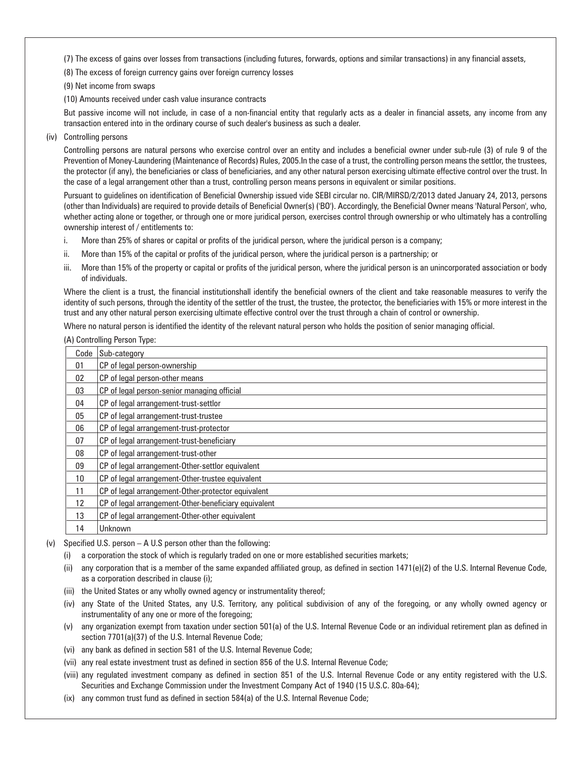(7) The excess of gains over losses from transactions (including futures, forwards, options and similar transactions) in any financial assets,

(8) The excess of foreign currency gains over foreign currency losses

(9) Net income from swaps

(10) Amounts received under cash value insurance contracts

 But passive income will not include, in case of a non-financial entity that regularly acts as a dealer in financial assets, any income from any transaction entered into in the ordinary course of such dealer's business as such a dealer.

(iv) Controlling persons

 Controlling persons are natural persons who exercise control over an entity and includes a beneficial owner under sub-rule (3) of rule 9 of the Prevention of Money-Laundering (Maintenance of Records) Rules, 2005.In the case of a trust, the controlling person means the settlor, the trustees, the protector (if any), the beneficiaries or class of beneficiaries, and any other natural person exercising ultimate effective control over the trust. In the case of a legal arrangement other than a trust, controlling person means persons in equivalent or similar positions.

 Pursuant to guidelines on identification of Beneficial Ownership issued vide SEBI circular no. CIR/MIRSD/2/2013 dated January 24, 2013, persons (other than Individuals) are required to provide details of Beneficial Owner(s) ('BO'). Accordingly, the Beneficial Owner means 'Natural Person', who, whether acting alone or together, or through one or more juridical person, exercises control through ownership or who ultimately has a controlling ownership interest of / entitlements to:

- i. More than 25% of shares or capital or profits of the juridical person, where the juridical person is a company;
- ii. More than 15% of the capital or profits of the juridical person, where the juridical person is a partnership; or
- iii. More than 15% of the property or capital or profits of the juridical person, where the juridical person is an unincorporated association or body of individuals.

 Where the client is a trust, the financial institutionshall identify the beneficial owners of the client and take reasonable measures to verify the identity of such persons, through the identity of the settler of the trust, the trustee, the protector, the beneficiaries with 15% or more interest in the trust and any other natural person exercising ultimate effective control over the trust through a chain of control or ownership.

Where no natural person is identified the identity of the relevant natural person who holds the position of senior managing official.

|  | (A) Controlling Person Type: |  |
|--|------------------------------|--|
|  |                              |  |

| Code | Sub-category                                         |
|------|------------------------------------------------------|
| 01   | CP of legal person-ownership                         |
| 02   | CP of legal person-other means                       |
| 03   | CP of legal person-senior managing official          |
| 04   | CP of legal arrangement-trust-settlor                |
| 05   | CP of legal arrangement-trust-trustee                |
| 06   | CP of legal arrangement-trust-protector              |
| 07   | CP of legal arrangement-trust-beneficiary            |
| 08   | CP of legal arrangement-trust-other                  |
| 09   | CP of legal arrangement-Other-settlor equivalent     |
| 10   | CP of legal arrangement-Other-trustee equivalent     |
| 11   | CP of legal arrangement-Other-protector equivalent   |
| 12   | CP of legal arrangement-Other-beneficiary equivalent |
| 13   | CP of legal arrangement-Other-other equivalent       |
| 14   | Unknown                                              |

(v) Specified U.S. person – A U.S person other than the following:

- (i) a corporation the stock of which is regularly traded on one or more established securities markets;
- (ii) any corporation that is a member of the same expanded affiliated group, as defined in section 1471(e)(2) of the U.S. Internal Revenue Code, as a corporation described in clause (i);
- (iii) the United States or any wholly owned agency or instrumentality thereof;
- (iv) any State of the United States, any U.S. Territory, any political subdivision of any of the foregoing, or any wholly owned agency or instrumentality of any one or more of the foregoing;
- (v) any organization exempt from taxation under section 501(a) of the U.S. Internal Revenue Code or an individual retirement plan as defined in section 7701(a)(37) of the U.S. Internal Revenue Code;
- (vi) any bank as defined in section 581 of the U.S. Internal Revenue Code;
- (vii) any real estate investment trust as defined in section 856 of the U.S. Internal Revenue Code;
- (viii) any regulated investment company as defined in section 851 of the U.S. Internal Revenue Code or any entity registered with the U.S. Securities and Exchange Commission under the Investment Company Act of 1940 (15 U.S.C. 80a-64);
- (ix) any common trust fund as defined in section 584(a) of the U.S. Internal Revenue Code;